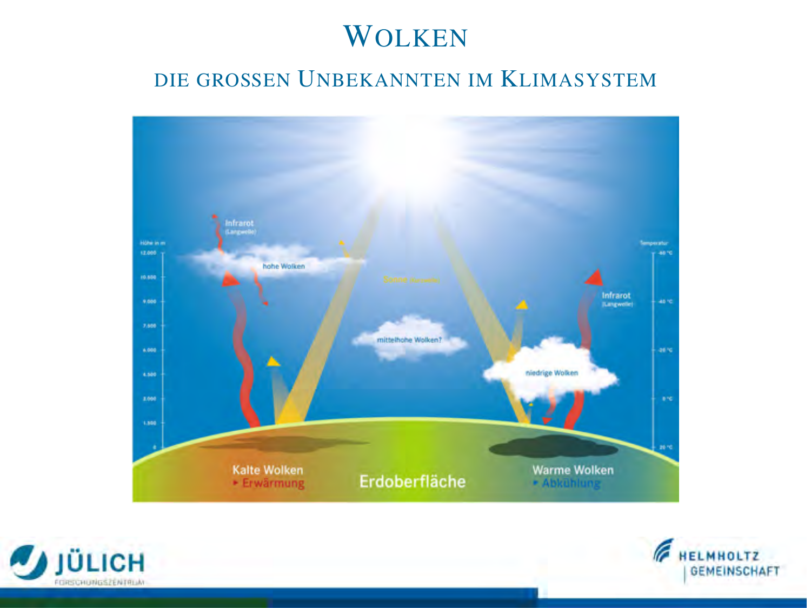# **WOLKEN**

#### DIE GROSSEN UNBEKANNTEN IM KLIMASYSTEM



<span id="page-0-0"></span>

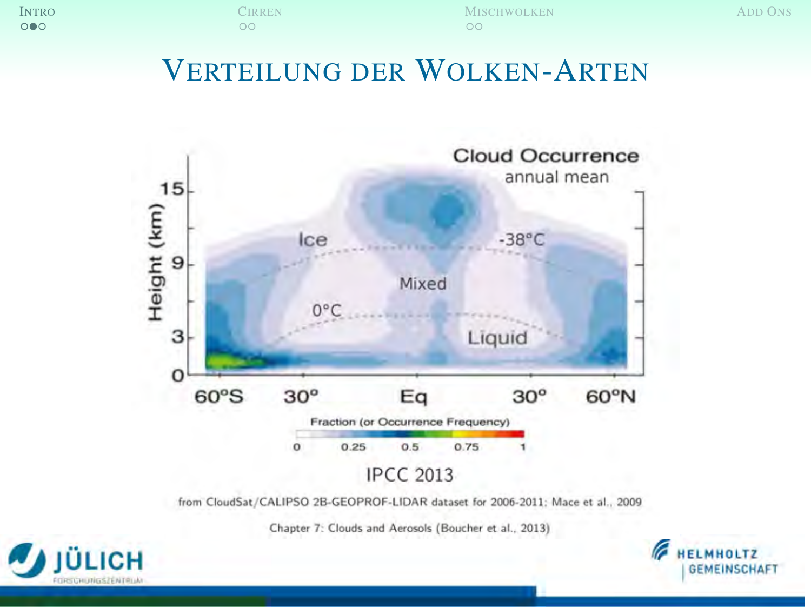**MISCHWOLKEN**  $\circ$ 

**ADD ONS** 

**HELMHOLTZ** 

**GEMEINSCHAFT** 

### **VERTEILUNG DER WOLKEN-ARTEN**



from CloudSat/CALIPSO 2B-GEOPROF-LIDAR dataset for 2006-2011; Mace et al., 2009

Chapter 7: Clouds and Aerosols (Boucher et al., 2013)

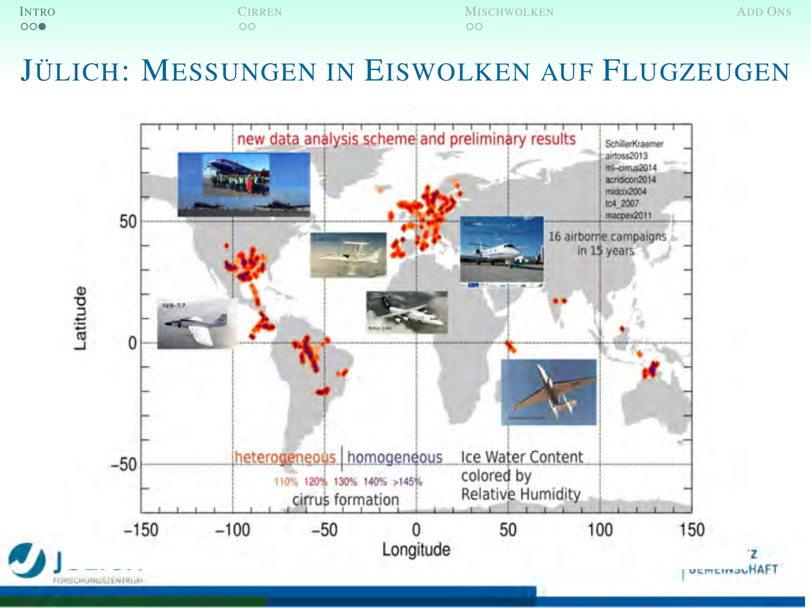| <b>INTRO</b>        | Cirren | <b>MISCHWOLKEN</b> | <b>ADD ONS</b> |
|---------------------|--------|--------------------|----------------|
| $\circ\circ\bullet$ | ОC     | oο                 |                |

### **JÜLICH: MESSUNGEN IN EISWOLKEN AUF FLUGZEUGEN**

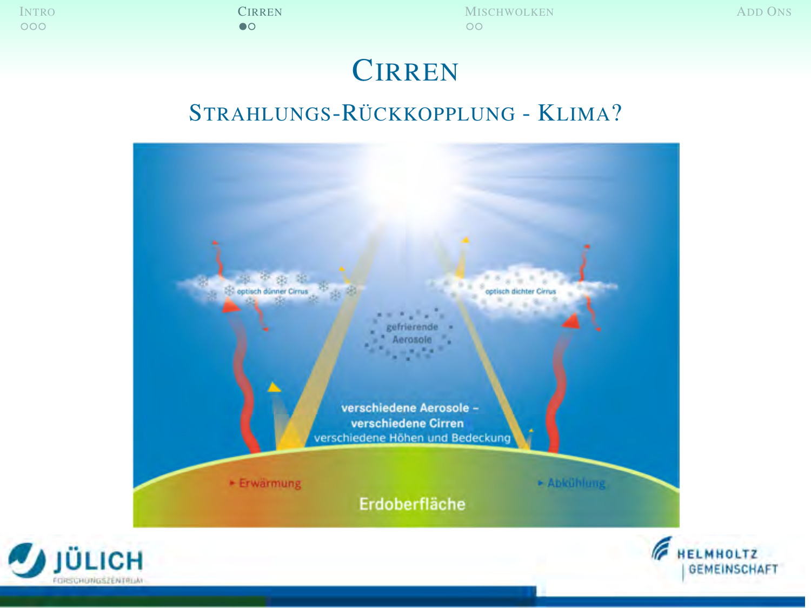**INTRO**  $000$ 

**MISCHWOLKEN**  $\circ$ 

**ADD ONS** 

# **CIRREN**

#### STRAHLUNGS-RÜCKKOPPLUNG - KLIMA?

<span id="page-3-0"></span>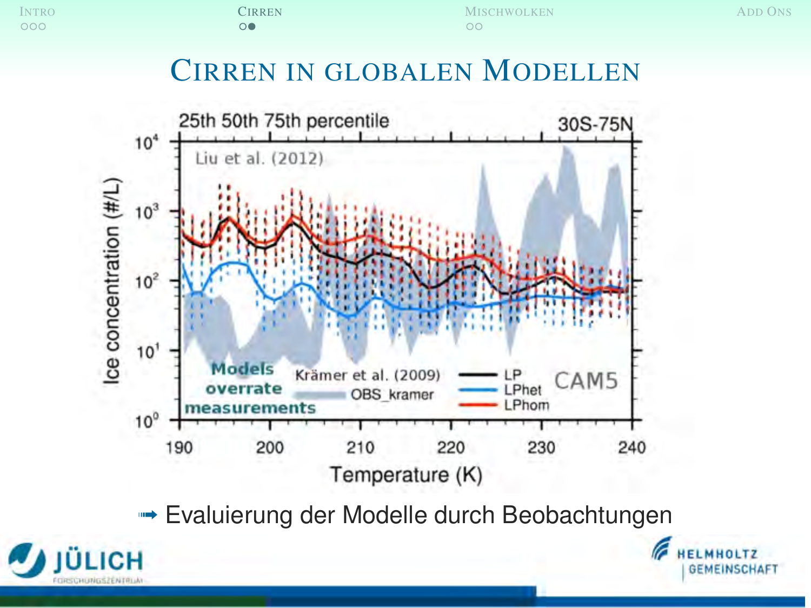**HOLTZ** 

**GEMEINSCHAFT** 

#### CIRREN IN GLOBALEN MODELLEN



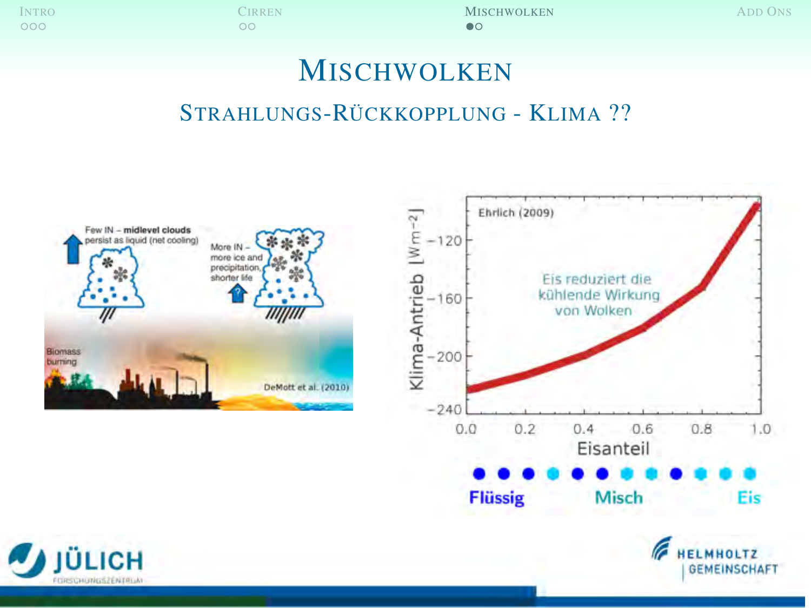**INTRO**  $000$ 

**CIRREN**  $\circ$ 

**MISCHWOLKEN**  $\bullet$ 

**Flüssig** 

**Misch** 

**ADD ONS** 

Eis

**HELMHOLTZ GEMEINSCHAFT** 

# **MISCHWOLKEN**

#### STRAHLUNGS-RÜCKKOPPLUNG - KLIMA ??



<span id="page-5-0"></span>![](_page_5_Picture_7.jpeg)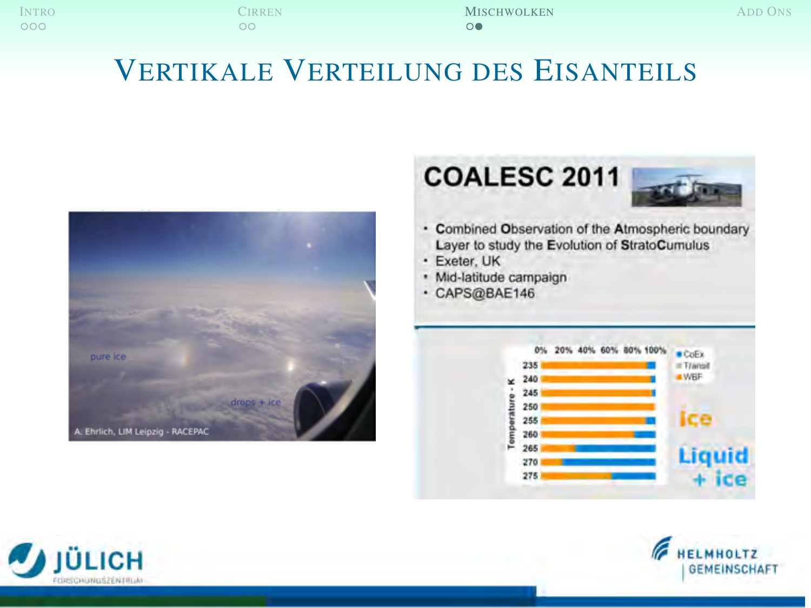# **VERTIKALE VERTEILUNG DES EISANTEILS**

![](_page_6_Picture_5.jpeg)

![](_page_6_Picture_6.jpeg)

- 
- · Mid-latitude campaign
- · CAPS@BAE146

![](_page_6_Figure_10.jpeg)

![](_page_6_Picture_11.jpeg)

![](_page_6_Picture_12.jpeg)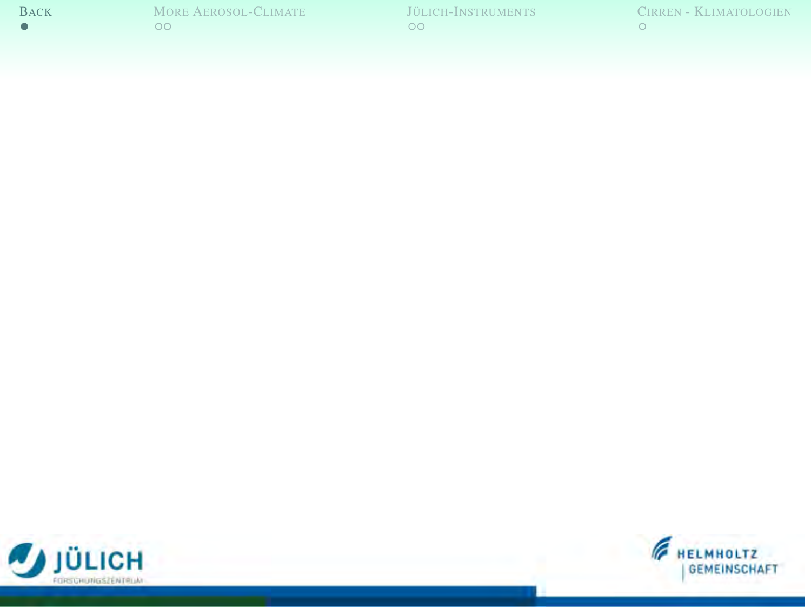| <b>BACK</b> | MORE AEROSOL-CLIMATE | <b>JÜLICH-INSTRUMEN</b> |
|-------------|----------------------|-------------------------|
|             |                      |                         |

CIRREN - KLIMATOLOGIEN  $\circ$ 

 $TS$ 

<span id="page-7-0"></span>![](_page_7_Picture_2.jpeg)

![](_page_7_Picture_3.jpeg)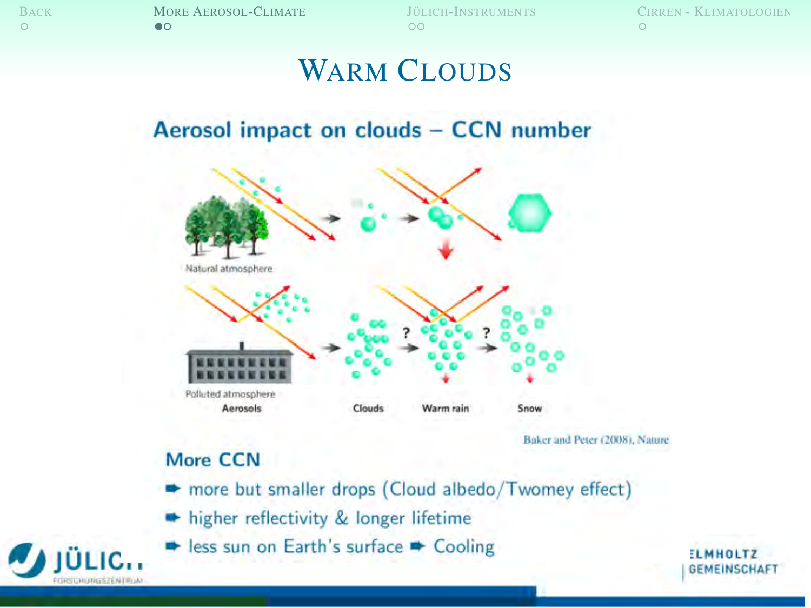**JÜLICH-INSTRUMENTS**  $00$ 

**CIRREN - KLIMATOLOGIEN**  $\bigcirc$ 

## **WARM CLOUDS**

Aerosol impact on clouds - CCN number

![](_page_8_Figure_6.jpeg)

Baker and Peter (2008), Nature

#### **More CCN**

<span id="page-8-0"></span>Ш ІС.

- more but smaller drops (Cloud albedo/Twomey effect)
- higher reflectivity & longer lifetime
- less sun on Earth's surface Cooling

ELMHOLTZ **GEMEINSCHAFT**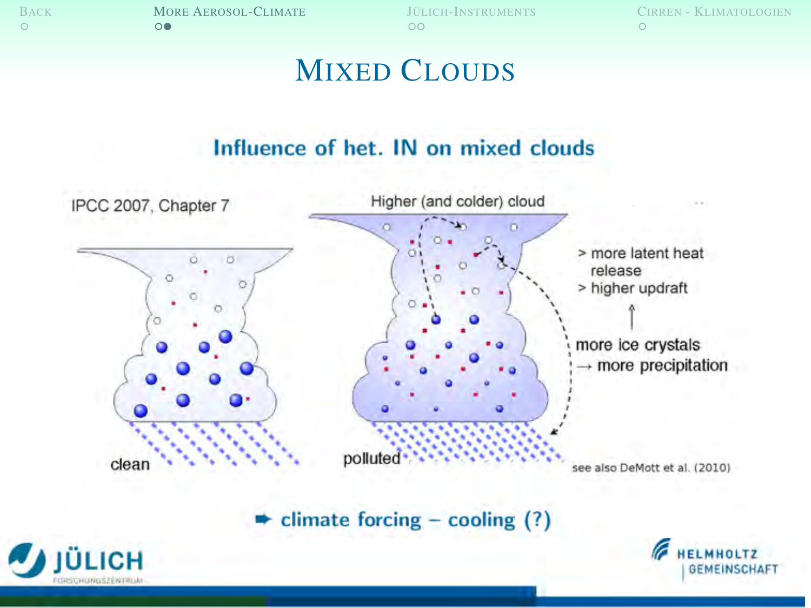**BACK**  $\circ$ 

**MORE AEROSOL-CLIMATE**  $\Omega$ 

**JÜLICH-INSTRUMENTS**  $00$ 

CIRREN - KLIMATOLOGIEN  $\bigcirc$ 

**GEMEINSCHAFT** 

## **MIXED CLOUDS**

#### Influence of het. IN on mixed clouds

![](_page_9_Figure_6.jpeg)

![](_page_9_Picture_7.jpeg)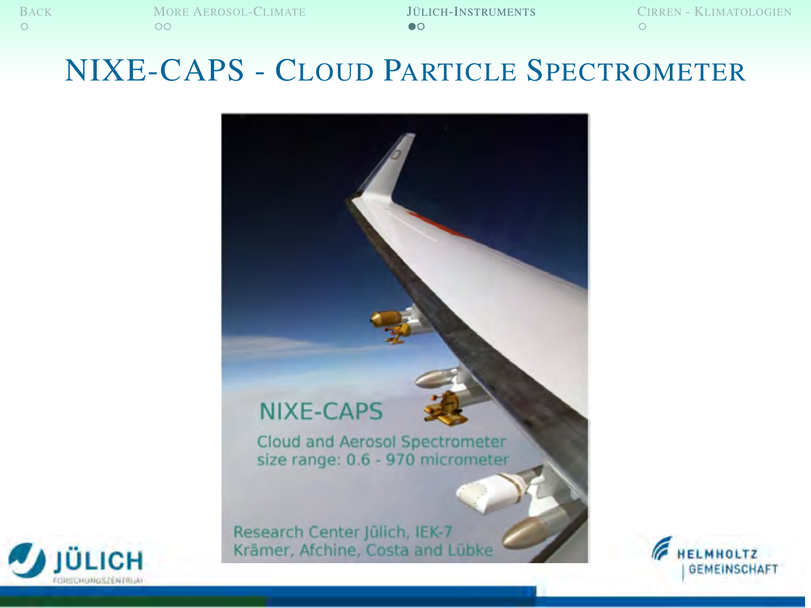CIRREN - KLIMATOLOGIEN  $\bigcirc$ 

# NIXE-CAPS - CLOUD PARTICLE SPECTROMETER

![](_page_10_Picture_5.jpeg)

![](_page_10_Picture_6.jpeg)

<span id="page-10-0"></span>![](_page_10_Picture_7.jpeg)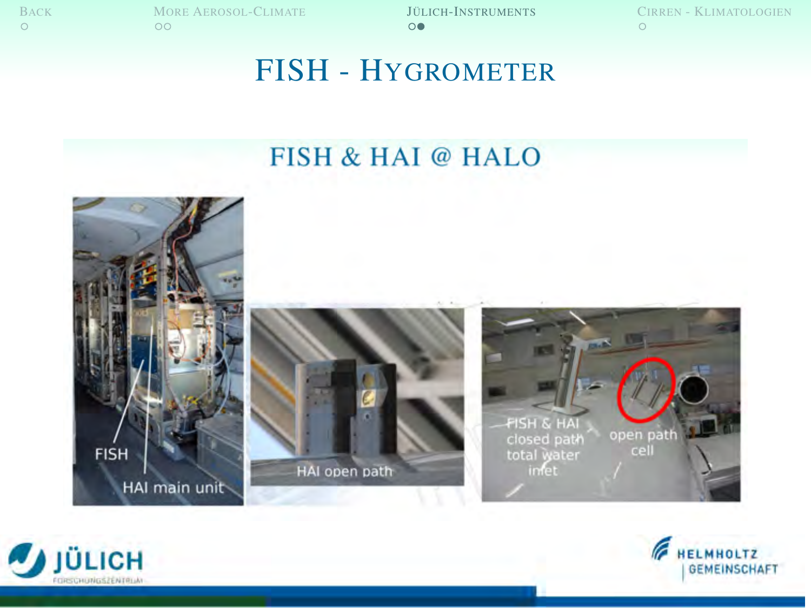**BACK**  $\circ$ 

**MORE AEROSOL-CLIMATE**  $\circ$ 

**JÜLICH-INSTRUMENTS**  $\circ$ 

**CIRREN - KLIMATOLOGIEN**  $\bigcirc$ 

### **FISH - HYGROMETER**

#### **FISH & HAI @ HALO**

![](_page_11_Picture_6.jpeg)

![](_page_11_Picture_7.jpeg)

![](_page_11_Picture_8.jpeg)